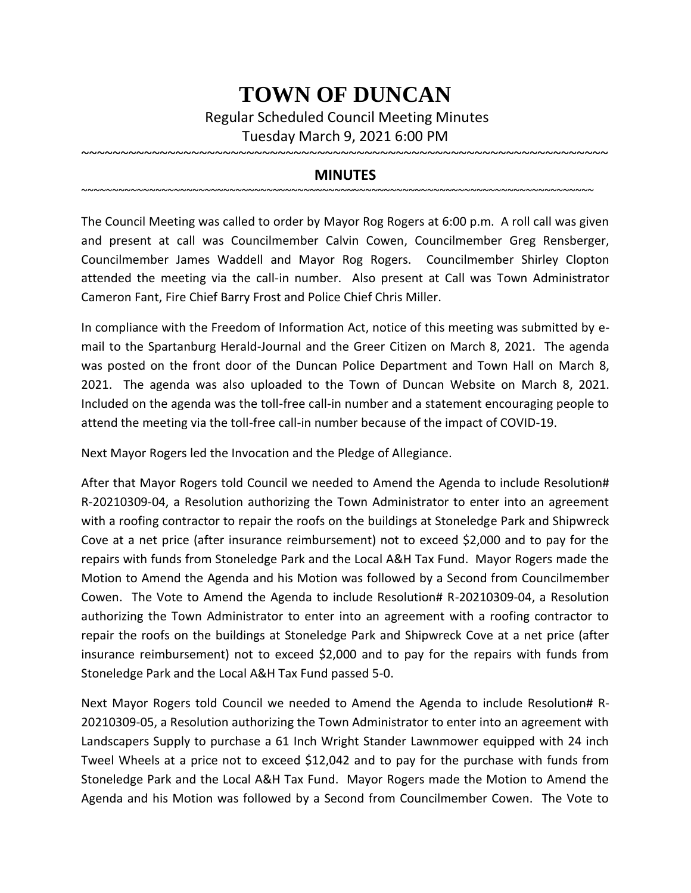## **TOWN OF DUNCAN**

Regular Scheduled Council Meeting Minutes Tuesday March 9, 2021 6:00 PM

## **MINUTES**

~~~~~~~~~~~~~~~~~~~~~~~~~~~~~~~~~~~~~~~~~~~~~~~~~~~~~~~~~~~~~~~~~~~~~~~~~~~~~~~~~~~

~~~~~~~~~~~~~~~~~~~~~~~~~~~~~~~~~~~~~~~~~~~~~~~~~~~~~~~~~~~~~~~~~~~

The Council Meeting was called to order by Mayor Rog Rogers at 6:00 p.m. A roll call was given and present at call was Councilmember Calvin Cowen, Councilmember Greg Rensberger, Councilmember James Waddell and Mayor Rog Rogers. Councilmember Shirley Clopton attended the meeting via the call-in number. Also present at Call was Town Administrator Cameron Fant, Fire Chief Barry Frost and Police Chief Chris Miller.

In compliance with the Freedom of Information Act, notice of this meeting was submitted by email to the Spartanburg Herald-Journal and the Greer Citizen on March 8, 2021. The agenda was posted on the front door of the Duncan Police Department and Town Hall on March 8, 2021. The agenda was also uploaded to the Town of Duncan Website on March 8, 2021. Included on the agenda was the toll-free call-in number and a statement encouraging people to attend the meeting via the toll-free call-in number because of the impact of COVID-19.

Next Mayor Rogers led the Invocation and the Pledge of Allegiance.

After that Mayor Rogers told Council we needed to Amend the Agenda to include Resolution# R-20210309-04, a Resolution authorizing the Town Administrator to enter into an agreement with a roofing contractor to repair the roofs on the buildings at Stoneledge Park and Shipwreck Cove at a net price (after insurance reimbursement) not to exceed \$2,000 and to pay for the repairs with funds from Stoneledge Park and the Local A&H Tax Fund. Mayor Rogers made the Motion to Amend the Agenda and his Motion was followed by a Second from Councilmember Cowen. The Vote to Amend the Agenda to include Resolution# R-20210309-04, a Resolution authorizing the Town Administrator to enter into an agreement with a roofing contractor to repair the roofs on the buildings at Stoneledge Park and Shipwreck Cove at a net price (after insurance reimbursement) not to exceed \$2,000 and to pay for the repairs with funds from Stoneledge Park and the Local A&H Tax Fund passed 5-0.

Next Mayor Rogers told Council we needed to Amend the Agenda to include Resolution# R-20210309-05, a Resolution authorizing the Town Administrator to enter into an agreement with Landscapers Supply to purchase a 61 Inch Wright Stander Lawnmower equipped with 24 inch Tweel Wheels at a price not to exceed \$12,042 and to pay for the purchase with funds from Stoneledge Park and the Local A&H Tax Fund. Mayor Rogers made the Motion to Amend the Agenda and his Motion was followed by a Second from Councilmember Cowen. The Vote to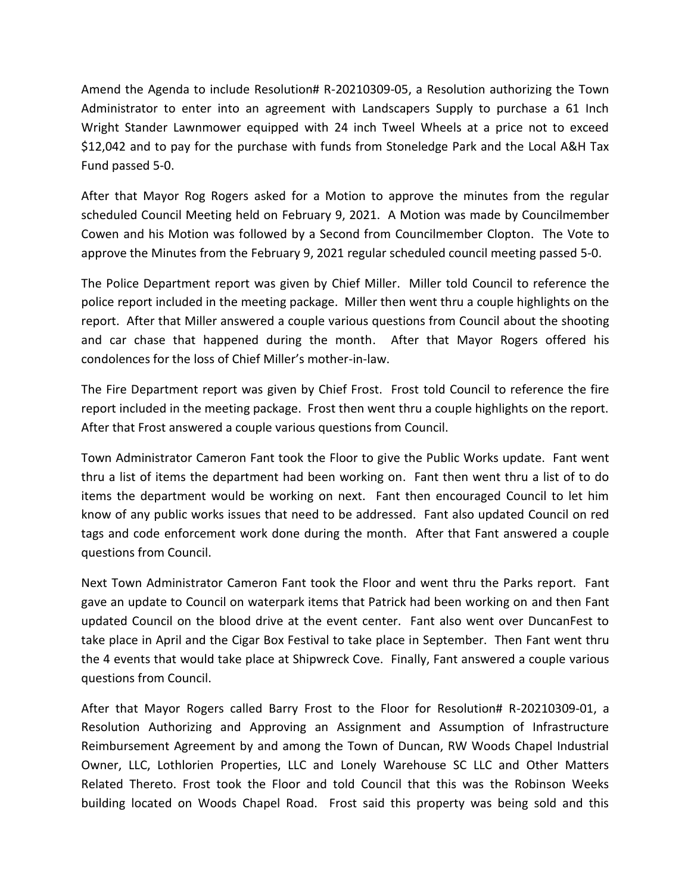Amend the Agenda to include Resolution# R-20210309-05, a Resolution authorizing the Town Administrator to enter into an agreement with Landscapers Supply to purchase a 61 Inch Wright Stander Lawnmower equipped with 24 inch Tweel Wheels at a price not to exceed \$12,042 and to pay for the purchase with funds from Stoneledge Park and the Local A&H Tax Fund passed 5-0.

After that Mayor Rog Rogers asked for a Motion to approve the minutes from the regular scheduled Council Meeting held on February 9, 2021. A Motion was made by Councilmember Cowen and his Motion was followed by a Second from Councilmember Clopton. The Vote to approve the Minutes from the February 9, 2021 regular scheduled council meeting passed 5-0.

The Police Department report was given by Chief Miller. Miller told Council to reference the police report included in the meeting package. Miller then went thru a couple highlights on the report. After that Miller answered a couple various questions from Council about the shooting and car chase that happened during the month. After that Mayor Rogers offered his condolences for the loss of Chief Miller's mother-in-law.

The Fire Department report was given by Chief Frost. Frost told Council to reference the fire report included in the meeting package. Frost then went thru a couple highlights on the report. After that Frost answered a couple various questions from Council.

Town Administrator Cameron Fant took the Floor to give the Public Works update. Fant went thru a list of items the department had been working on. Fant then went thru a list of to do items the department would be working on next. Fant then encouraged Council to let him know of any public works issues that need to be addressed. Fant also updated Council on red tags and code enforcement work done during the month. After that Fant answered a couple questions from Council.

Next Town Administrator Cameron Fant took the Floor and went thru the Parks report. Fant gave an update to Council on waterpark items that Patrick had been working on and then Fant updated Council on the blood drive at the event center. Fant also went over DuncanFest to take place in April and the Cigar Box Festival to take place in September. Then Fant went thru the 4 events that would take place at Shipwreck Cove. Finally, Fant answered a couple various questions from Council.

After that Mayor Rogers called Barry Frost to the Floor for Resolution# R-20210309-01, a Resolution Authorizing and Approving an Assignment and Assumption of Infrastructure Reimbursement Agreement by and among the Town of Duncan, RW Woods Chapel Industrial Owner, LLC, Lothlorien Properties, LLC and Lonely Warehouse SC LLC and Other Matters Related Thereto. Frost took the Floor and told Council that this was the Robinson Weeks building located on Woods Chapel Road. Frost said this property was being sold and this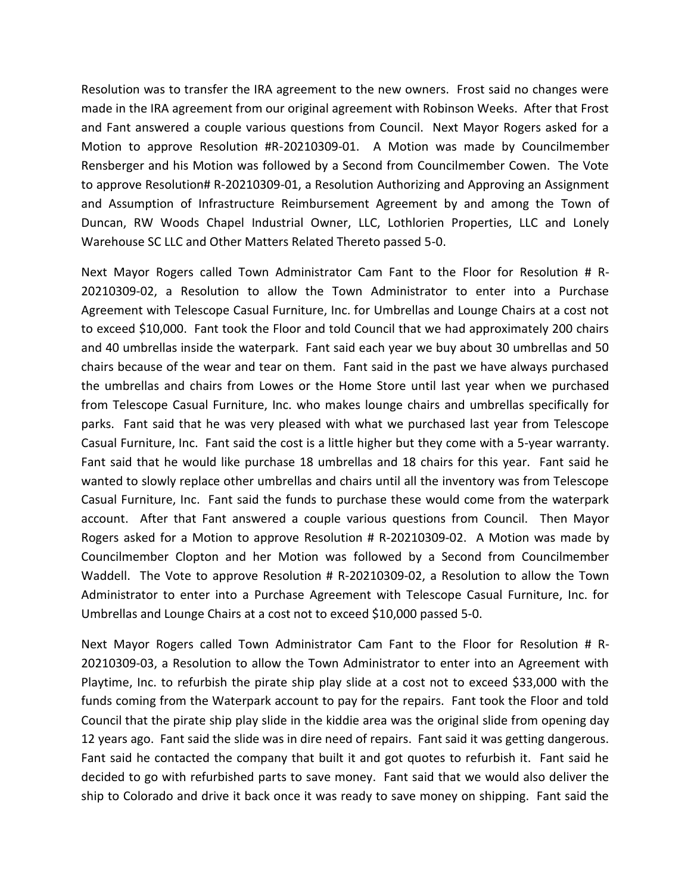Resolution was to transfer the IRA agreement to the new owners. Frost said no changes were made in the IRA agreement from our original agreement with Robinson Weeks. After that Frost and Fant answered a couple various questions from Council. Next Mayor Rogers asked for a Motion to approve Resolution #R-20210309-01. A Motion was made by Councilmember Rensberger and his Motion was followed by a Second from Councilmember Cowen. The Vote to approve Resolution# R-20210309-01, a Resolution Authorizing and Approving an Assignment and Assumption of Infrastructure Reimbursement Agreement by and among the Town of Duncan, RW Woods Chapel Industrial Owner, LLC, Lothlorien Properties, LLC and Lonely Warehouse SC LLC and Other Matters Related Thereto passed 5-0.

Next Mayor Rogers called Town Administrator Cam Fant to the Floor for Resolution # R-20210309-02, a Resolution to allow the Town Administrator to enter into a Purchase Agreement with Telescope Casual Furniture, Inc. for Umbrellas and Lounge Chairs at a cost not to exceed \$10,000. Fant took the Floor and told Council that we had approximately 200 chairs and 40 umbrellas inside the waterpark. Fant said each year we buy about 30 umbrellas and 50 chairs because of the wear and tear on them. Fant said in the past we have always purchased the umbrellas and chairs from Lowes or the Home Store until last year when we purchased from Telescope Casual Furniture, Inc. who makes lounge chairs and umbrellas specifically for parks. Fant said that he was very pleased with what we purchased last year from Telescope Casual Furniture, Inc. Fant said the cost is a little higher but they come with a 5-year warranty. Fant said that he would like purchase 18 umbrellas and 18 chairs for this year. Fant said he wanted to slowly replace other umbrellas and chairs until all the inventory was from Telescope Casual Furniture, Inc. Fant said the funds to purchase these would come from the waterpark account. After that Fant answered a couple various questions from Council. Then Mayor Rogers asked for a Motion to approve Resolution # R-20210309-02. A Motion was made by Councilmember Clopton and her Motion was followed by a Second from Councilmember Waddell. The Vote to approve Resolution # R-20210309-02, a Resolution to allow the Town Administrator to enter into a Purchase Agreement with Telescope Casual Furniture, Inc. for Umbrellas and Lounge Chairs at a cost not to exceed \$10,000 passed 5-0.

Next Mayor Rogers called Town Administrator Cam Fant to the Floor for Resolution # R-20210309-03, a Resolution to allow the Town Administrator to enter into an Agreement with Playtime, Inc. to refurbish the pirate ship play slide at a cost not to exceed \$33,000 with the funds coming from the Waterpark account to pay for the repairs. Fant took the Floor and told Council that the pirate ship play slide in the kiddie area was the original slide from opening day 12 years ago. Fant said the slide was in dire need of repairs. Fant said it was getting dangerous. Fant said he contacted the company that built it and got quotes to refurbish it. Fant said he decided to go with refurbished parts to save money. Fant said that we would also deliver the ship to Colorado and drive it back once it was ready to save money on shipping. Fant said the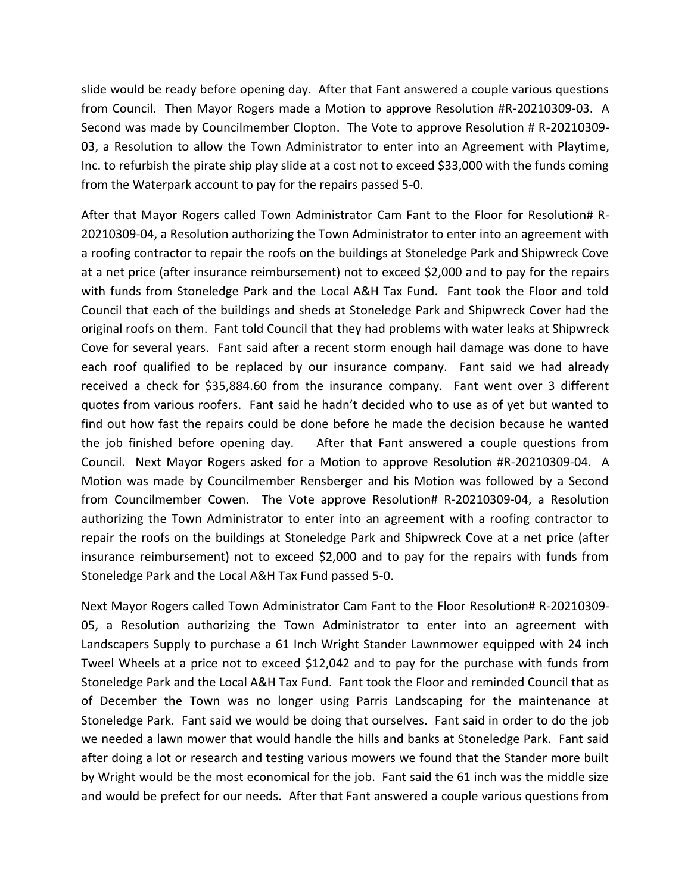slide would be ready before opening day. After that Fant answered a couple various questions from Council. Then Mayor Rogers made a Motion to approve Resolution #R-20210309-03. A Second was made by Councilmember Clopton. The Vote to approve Resolution # R-20210309- 03, a Resolution to allow the Town Administrator to enter into an Agreement with Playtime, Inc. to refurbish the pirate ship play slide at a cost not to exceed \$33,000 with the funds coming from the Waterpark account to pay for the repairs passed 5-0.

After that Mayor Rogers called Town Administrator Cam Fant to the Floor for Resolution# R-20210309-04, a Resolution authorizing the Town Administrator to enter into an agreement with a roofing contractor to repair the roofs on the buildings at Stoneledge Park and Shipwreck Cove at a net price (after insurance reimbursement) not to exceed \$2,000 and to pay for the repairs with funds from Stoneledge Park and the Local A&H Tax Fund. Fant took the Floor and told Council that each of the buildings and sheds at Stoneledge Park and Shipwreck Cover had the original roofs on them. Fant told Council that they had problems with water leaks at Shipwreck Cove for several years. Fant said after a recent storm enough hail damage was done to have each roof qualified to be replaced by our insurance company. Fant said we had already received a check for \$35,884.60 from the insurance company. Fant went over 3 different quotes from various roofers. Fant said he hadn't decided who to use as of yet but wanted to find out how fast the repairs could be done before he made the decision because he wanted the job finished before opening day. After that Fant answered a couple questions from Council. Next Mayor Rogers asked for a Motion to approve Resolution #R-20210309-04. A Motion was made by Councilmember Rensberger and his Motion was followed by a Second from Councilmember Cowen. The Vote approve Resolution# R-20210309-04, a Resolution authorizing the Town Administrator to enter into an agreement with a roofing contractor to repair the roofs on the buildings at Stoneledge Park and Shipwreck Cove at a net price (after insurance reimbursement) not to exceed \$2,000 and to pay for the repairs with funds from Stoneledge Park and the Local A&H Tax Fund passed 5-0.

Next Mayor Rogers called Town Administrator Cam Fant to the Floor Resolution# R-20210309- 05, a Resolution authorizing the Town Administrator to enter into an agreement with Landscapers Supply to purchase a 61 Inch Wright Stander Lawnmower equipped with 24 inch Tweel Wheels at a price not to exceed \$12,042 and to pay for the purchase with funds from Stoneledge Park and the Local A&H Tax Fund. Fant took the Floor and reminded Council that as of December the Town was no longer using Parris Landscaping for the maintenance at Stoneledge Park. Fant said we would be doing that ourselves. Fant said in order to do the job we needed a lawn mower that would handle the hills and banks at Stoneledge Park. Fant said after doing a lot or research and testing various mowers we found that the Stander more built by Wright would be the most economical for the job. Fant said the 61 inch was the middle size and would be prefect for our needs. After that Fant answered a couple various questions from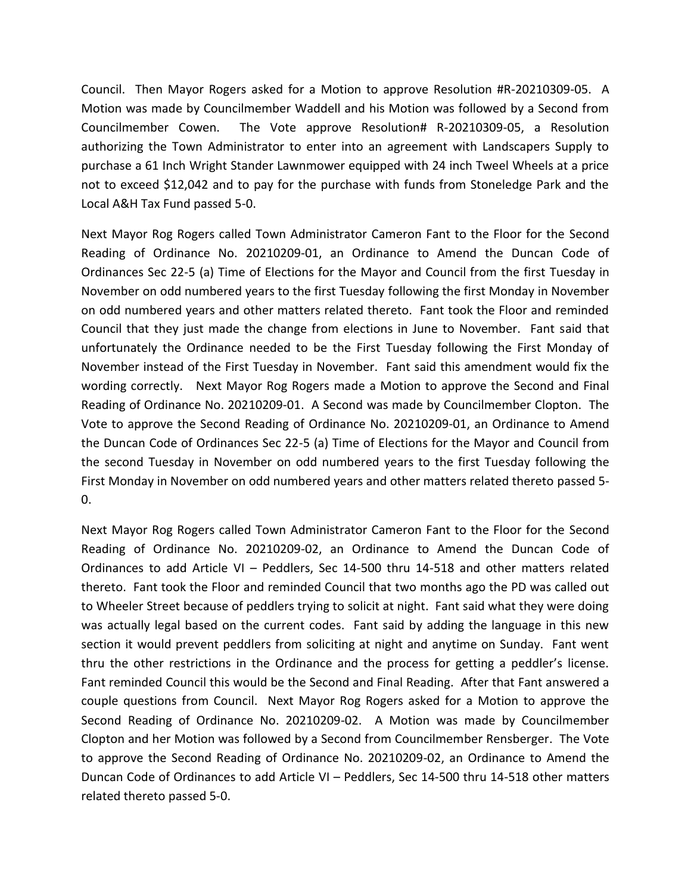Council. Then Mayor Rogers asked for a Motion to approve Resolution #R-20210309-05. A Motion was made by Councilmember Waddell and his Motion was followed by a Second from Councilmember Cowen. The Vote approve Resolution# R-20210309-05, a Resolution authorizing the Town Administrator to enter into an agreement with Landscapers Supply to purchase a 61 Inch Wright Stander Lawnmower equipped with 24 inch Tweel Wheels at a price not to exceed \$12,042 and to pay for the purchase with funds from Stoneledge Park and the Local A&H Tax Fund passed 5-0.

Next Mayor Rog Rogers called Town Administrator Cameron Fant to the Floor for the Second Reading of Ordinance No. 20210209-01, an Ordinance to Amend the Duncan Code of Ordinances Sec 22-5 (a) Time of Elections for the Mayor and Council from the first Tuesday in November on odd numbered years to the first Tuesday following the first Monday in November on odd numbered years and other matters related thereto. Fant took the Floor and reminded Council that they just made the change from elections in June to November. Fant said that unfortunately the Ordinance needed to be the First Tuesday following the First Monday of November instead of the First Tuesday in November. Fant said this amendment would fix the wording correctly. Next Mayor Rog Rogers made a Motion to approve the Second and Final Reading of Ordinance No. 20210209-01. A Second was made by Councilmember Clopton. The Vote to approve the Second Reading of Ordinance No. 20210209-01, an Ordinance to Amend the Duncan Code of Ordinances Sec 22-5 (a) Time of Elections for the Mayor and Council from the second Tuesday in November on odd numbered years to the first Tuesday following the First Monday in November on odd numbered years and other matters related thereto passed 5-  $0.$ 

Next Mayor Rog Rogers called Town Administrator Cameron Fant to the Floor for the Second Reading of Ordinance No. 20210209-02, an Ordinance to Amend the Duncan Code of Ordinances to add Article VI – Peddlers, Sec 14-500 thru 14-518 and other matters related thereto. Fant took the Floor and reminded Council that two months ago the PD was called out to Wheeler Street because of peddlers trying to solicit at night. Fant said what they were doing was actually legal based on the current codes. Fant said by adding the language in this new section it would prevent peddlers from soliciting at night and anytime on Sunday. Fant went thru the other restrictions in the Ordinance and the process for getting a peddler's license. Fant reminded Council this would be the Second and Final Reading. After that Fant answered a couple questions from Council. Next Mayor Rog Rogers asked for a Motion to approve the Second Reading of Ordinance No. 20210209-02. A Motion was made by Councilmember Clopton and her Motion was followed by a Second from Councilmember Rensberger. The Vote to approve the Second Reading of Ordinance No. 20210209-02, an Ordinance to Amend the Duncan Code of Ordinances to add Article VI – Peddlers, Sec 14-500 thru 14-518 other matters related thereto passed 5-0.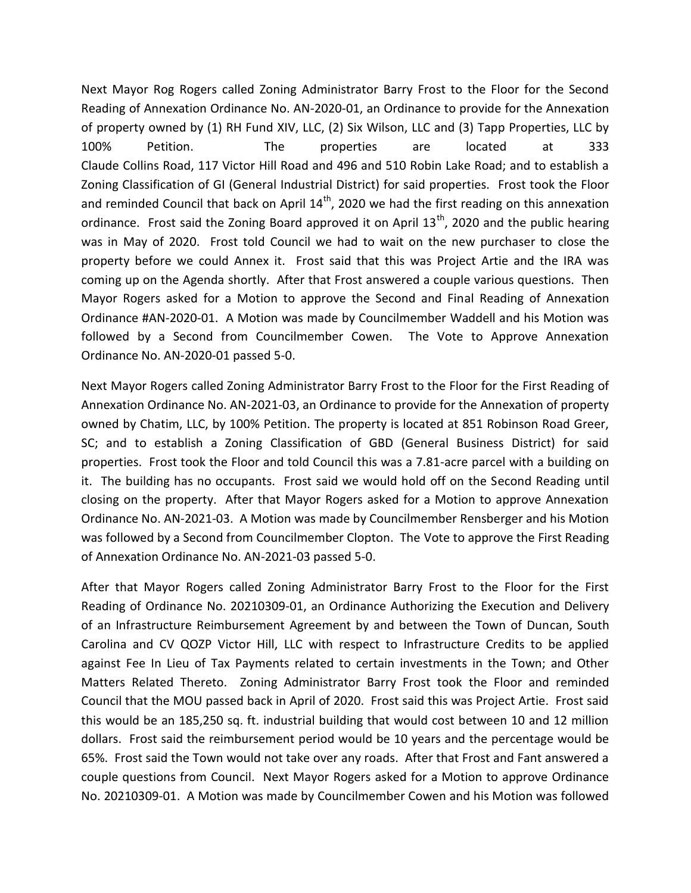Next Mayor Rog Rogers called Zoning Administrator Barry Frost to the Floor for the Second Reading of Annexation Ordinance No. AN-2020-01, an Ordinance to provide for the Annexation of property owned by (1) RH Fund XIV, LLC, (2) Six Wilson, LLC and (3) Tapp Properties, LLC by 100% Petition. The properties are located at 333 Claude Collins Road, 117 Victor Hill Road and 496 and 510 Robin Lake Road; and to establish a Zoning Classification of GI (General Industrial District) for said properties. Frost took the Floor and reminded Council that back on April  $14<sup>th</sup>$ , 2020 we had the first reading on this annexation ordinance. Frost said the Zoning Board approved it on April  $13<sup>th</sup>$ , 2020 and the public hearing was in May of 2020. Frost told Council we had to wait on the new purchaser to close the property before we could Annex it. Frost said that this was Project Artie and the IRA was coming up on the Agenda shortly. After that Frost answered a couple various questions. Then Mayor Rogers asked for a Motion to approve the Second and Final Reading of Annexation Ordinance #AN-2020-01. A Motion was made by Councilmember Waddell and his Motion was followed by a Second from Councilmember Cowen. The Vote to Approve Annexation Ordinance No. AN-2020-01 passed 5-0.

Next Mayor Rogers called Zoning Administrator Barry Frost to the Floor for the First Reading of Annexation Ordinance No. AN-2021-03, an Ordinance to provide for the Annexation of property owned by Chatim, LLC, by 100% Petition. The property is located at 851 Robinson Road Greer, SC; and to establish a Zoning Classification of GBD (General Business District) for said properties. Frost took the Floor and told Council this was a 7.81-acre parcel with a building on it. The building has no occupants. Frost said we would hold off on the Second Reading until closing on the property. After that Mayor Rogers asked for a Motion to approve Annexation Ordinance No. AN-2021-03. A Motion was made by Councilmember Rensberger and his Motion was followed by a Second from Councilmember Clopton. The Vote to approve the First Reading of Annexation Ordinance No. AN-2021-03 passed 5-0.

After that Mayor Rogers called Zoning Administrator Barry Frost to the Floor for the First Reading of Ordinance No. 20210309-01, an Ordinance Authorizing the Execution and Delivery of an Infrastructure Reimbursement Agreement by and between the Town of Duncan, South Carolina and CV QOZP Victor Hill, LLC with respect to Infrastructure Credits to be applied against Fee In Lieu of Tax Payments related to certain investments in the Town; and Other Matters Related Thereto. Zoning Administrator Barry Frost took the Floor and reminded Council that the MOU passed back in April of 2020. Frost said this was Project Artie. Frost said this would be an 185,250 sq. ft. industrial building that would cost between 10 and 12 million dollars. Frost said the reimbursement period would be 10 years and the percentage would be 65%. Frost said the Town would not take over any roads. After that Frost and Fant answered a couple questions from Council. Next Mayor Rogers asked for a Motion to approve Ordinance No. 20210309-01. A Motion was made by Councilmember Cowen and his Motion was followed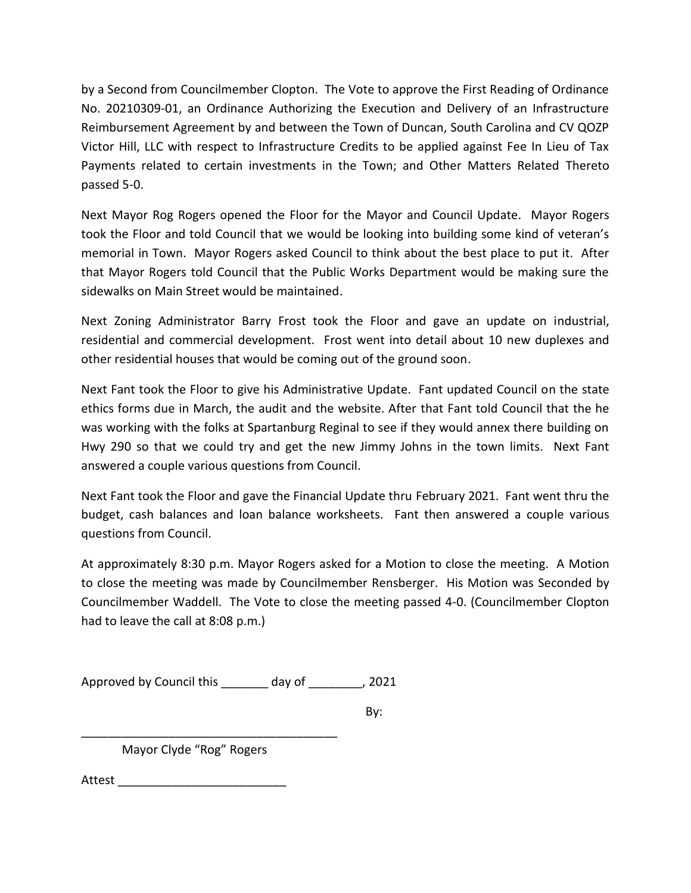by a Second from Councilmember Clopton. The Vote to approve the First Reading of Ordinance No. 20210309-01, an Ordinance Authorizing the Execution and Delivery of an Infrastructure Reimbursement Agreement by and between the Town of Duncan, South Carolina and CV QOZP Victor Hill, LLC with respect to Infrastructure Credits to be applied against Fee In Lieu of Tax Payments related to certain investments in the Town; and Other Matters Related Thereto passed 5-0.

Next Mayor Rog Rogers opened the Floor for the Mayor and Council Update. Mayor Rogers took the Floor and told Council that we would be looking into building some kind of veteran's memorial in Town. Mayor Rogers asked Council to think about the best place to put it. After that Mayor Rogers told Council that the Public Works Department would be making sure the sidewalks on Main Street would be maintained.

Next Zoning Administrator Barry Frost took the Floor and gave an update on industrial, residential and commercial development. Frost went into detail about 10 new duplexes and other residential houses that would be coming out of the ground soon.

Next Fant took the Floor to give his Administrative Update. Fant updated Council on the state ethics forms due in March, the audit and the website. After that Fant told Council that the he was working with the folks at Spartanburg Reginal to see if they would annex there building on Hwy 290 so that we could try and get the new Jimmy Johns in the town limits. Next Fant answered a couple various questions from Council.

Next Fant took the Floor and gave the Financial Update thru February 2021. Fant went thru the budget, cash balances and loan balance worksheets. Fant then answered a couple various questions from Council.

At approximately 8:30 p.m. Mayor Rogers asked for a Motion to close the meeting. A Motion to close the meeting was made by Councilmember Rensberger. His Motion was Seconded by Councilmember Waddell. The Vote to close the meeting passed 4-0. (Councilmember Clopton had to leave the call at 8:08 p.m.)

Approved by Council this \_\_\_\_\_\_\_ day of \_\_\_\_\_\_\_\_, 2021

By:

Mayor Clyde "Rog" Rogers

\_\_\_\_\_\_\_\_\_\_\_\_\_\_\_\_\_\_\_\_\_\_\_\_\_\_\_\_\_\_\_\_\_\_\_\_\_\_

Attest \_\_\_\_\_\_\_\_\_\_\_\_\_\_\_\_\_\_\_\_\_\_\_\_\_